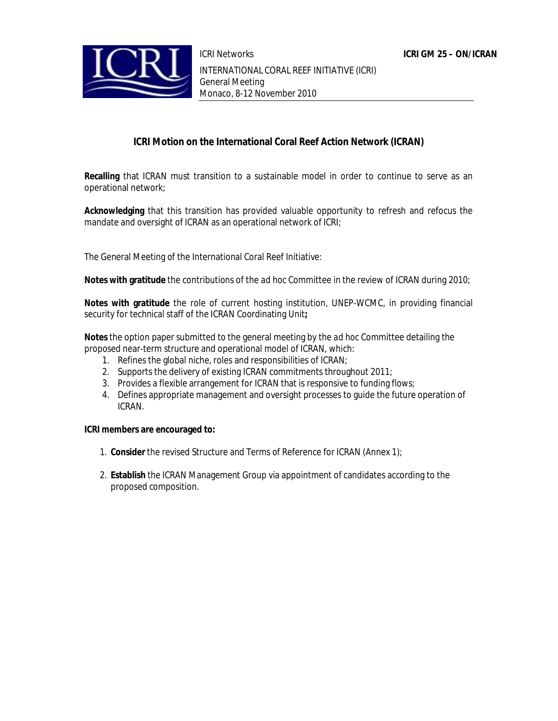

**ICRI Motion on the International Coral Reef Action Network (ICRAN)**

**Recalling** that ICRAN must transition to a sustainable model in order to continue to serve as an operational network;

**Acknowledging** that this transition has provided valuable opportunity to refresh and refocus the mandate and oversight of ICRAN as an operational network of ICRI;

The General Meeting of the International Coral Reef Initiative:

**Notes with gratitude** the contributions of the *ad hoc* Committee in the review of ICRAN during 2010;

**Notes with gratitude** the role of current hosting institution, UNEP-WCMC, in providing financial security for technical staff of the ICRAN Coordinating Unit**;**

**Notes** the option paper submitted to the general meeting by the *ad hoc* Committee detailing the proposed near-term structure and operational model of ICRAN, which:

- 1. Refines the global niche, roles and responsibilities of ICRAN;
- 2. Supports the delivery of existing ICRAN commitments throughout 2011;
- 3. Provides a flexible arrangement for ICRAN that is responsive to funding flows;
- 4. Defines appropriate management and oversight processes to guide the future operation of ICRAN.

**ICRI members are encouraged to:**

- 1. **Consider** the revised Structure and Terms of Reference for ICRAN (Annex 1);
- 2. **Establish** the ICRAN Management Group via appointment of candidates according to the proposed composition.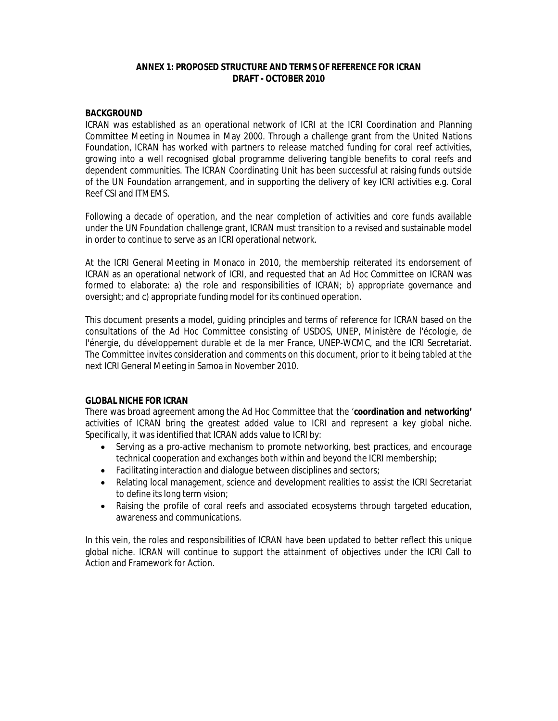#### **ANNEX 1: PROPOSED STRUCTURE AND TERMS OF REFERENCE FOR ICRAN DRAFT - OCTOBER 2010**

#### **BACKGROUND**

ICRAN was established as an operational network of ICRI at the ICRI Coordination and Planning Committee Meeting in Noumea in May 2000. Through a challenge grant from the United Nations Foundation, ICRAN has worked with partners to release matched funding for coral reef activities, growing into a well recognised global programme delivering tangible benefits to coral reefs and dependent communities. The ICRAN Coordinating Unit has been successful at raising funds outside of the UN Foundation arrangement, and in supporting the delivery of key ICRI activities e.g. Coral Reef CSI and ITMEMS.

Following a decade of operation, and the near completion of activities and core funds available under the UN Foundation challenge grant, ICRAN must transition to a revised and sustainable model in order to continue to serve as an ICRI operational network.

At the ICRI General Meeting in Monaco in 2010, the membership reiterated its endorsement of ICRAN as an operational network of ICRI, and requested that an *Ad Hoc* Committee on ICRAN was formed to elaborate: a) the role and responsibilities of ICRAN; b) appropriate governance and oversight; and c) appropriate funding model for its continued operation.

This document presents a model, guiding principles and terms of reference for ICRAN based on the consultations of the *Ad Hoc* Committee consisting of USDOS, UNEP, Ministère de l'écologie, de l'énergie, du développement durable et de la mer France, UNEP-WCMC, and the ICRI Secretariat. The Committee invites consideration and comments on this document, prior to it being tabled at the next ICRI General Meeting in Samoa in November 2010.

## **GLOBAL NICHE FOR ICRAN**

There was broad agreement among the *Ad Hoc* Committee that the '*coordination and networking'* activities of ICRAN bring the greatest added value to ICRI and represent a key global niche. Specifically, it was identified that ICRAN adds value to ICRI by:

- Serving as a pro-active mechanism to promote networking, best practices, and encourage technical cooperation and exchanges both within and beyond the ICRI membership;
- Facilitating interaction and dialogue between disciplines and sectors;
- Relating local management, science and development realities to assist the ICRI Secretariat to define its long term vision;
- Raising the profile of coral reefs and associated ecosystems through targeted education, awareness and communications.

In this vein, the roles and responsibilities of ICRAN have been updated to better reflect this unique global niche. ICRAN will continue to support the attainment of objectives under the ICRI Call to Action and Framework for Action.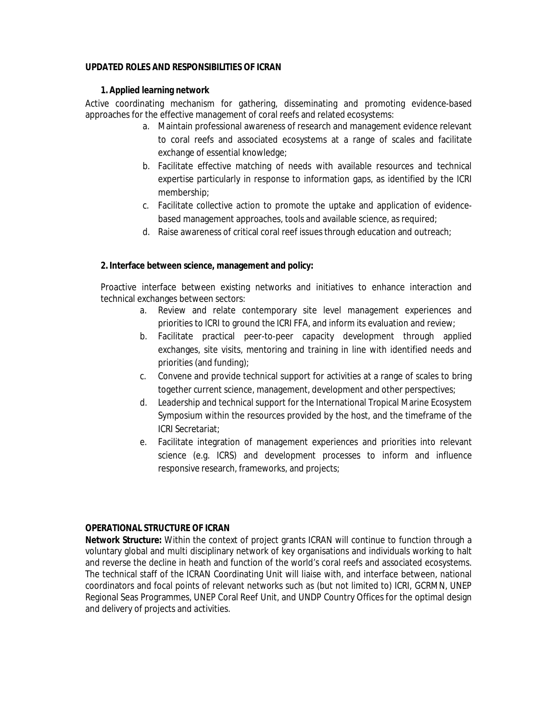## **UPDATED ROLES AND RESPONSIBILITIES OF ICRAN**

## **1. Applied learning network**

Active coordinating mechanism for gathering, disseminating and promoting evidence-based approaches for the effective management of coral reefs and related ecosystems:

- a. Maintain professional awareness of research and management evidence relevant to coral reefs and associated ecosystems at a range of scales and facilitate exchange of essential knowledge;
- b. Facilitate effective matching of needs with available resources and technical expertise particularly in response to information gaps, as identified by the ICRI membership;
- c. Facilitate collective action to promote the uptake and application of evidencebased management approaches, tools and available science, as required;
- d. Raise awareness of critical coral reef issues through education and outreach;

**2. Interface between science, management and policy:**

Proactive interface between existing networks and initiatives to enhance interaction and technical exchanges between sectors:

- a. Review and relate contemporary site level management experiences and priorities to ICRI to ground the ICRI FFA, and inform its evaluation and review;
- b. Facilitate practical peer-to-peer capacity development through applied exchanges, site visits, mentoring and training in line with identified needs and priorities (and funding);
- c. Convene and provide technical support for activities at a range of scales to bring together current science, management, development and other perspectives;
- d. Leadership and technical support for the International Tropical Marine Ecosystem Symposium within the resources provided by the host, and the timeframe of the ICRI Secretariat;
- e. Facilitate integration of management experiences and priorities into relevant science (e.g. ICRS) and development processes to inform and influence responsive research, frameworks, and projects;

## **OPERATIONAL STRUCTURE OF ICRAN**

**Network Structure:** Within the context of project grants ICRAN will continue to function through a voluntary global and multi disciplinary network of key organisations and individuals working to halt and reverse the decline in heath and function of the world's coral reefs and associated ecosystems. The technical staff of the ICRAN Coordinating Unit will liaise with, and interface between, national coordinators and focal points of relevant networks such as (but not limited to) ICRI, GCRMN, UNEP Regional Seas Programmes, UNEP Coral Reef Unit, and UNDP Country Offices for the optimal design and delivery of projects and activities.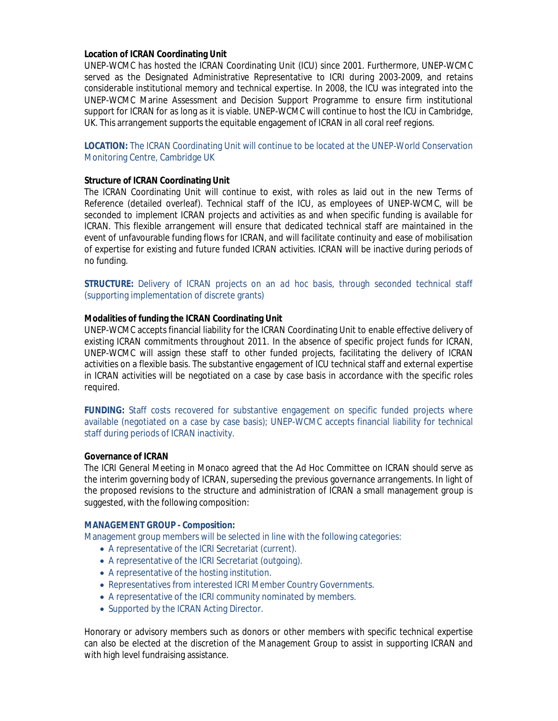#### **Location of ICRAN Coordinating Unit**

UNEP-WCMC has hosted the ICRAN Coordinating Unit (ICU) since 2001. Furthermore, UNEP-WCMC served as the Designated Administrative Representative to ICRI during 2003-2009, and retains considerable institutional memory and technical expertise. In 2008, the ICU was integrated into the UNEP-WCMC Marine Assessment and Decision Support Programme to ensure firm institutional support for ICRAN for as long as it is viable. UNEP-WCMC will continue to host the ICU in Cambridge, UK. This arrangement supports the equitable engagement of ICRAN in all coral reef regions.

## **LOCATION:** The ICRAN Coordinating Unit will continue to be located at the UNEP-World Conservation Monitoring Centre, Cambridge UK

## **Structure of ICRAN Coordinating Unit**

The ICRAN Coordinating Unit will continue to exist, with roles as laid out in the new Terms of Reference (detailed overleaf). Technical staff of the ICU, as employees of UNEP-WCMC, will be seconded to implement ICRAN projects and activities as and when specific funding is available for ICRAN. This flexible arrangement will ensure that dedicated technical staff are maintained in the event of unfavourable funding flows for ICRAN, and will facilitate continuity and ease of mobilisation of expertise for existing and future funded ICRAN activities. ICRAN will be inactive during periods of no funding.

**STRUCTURE:** Delivery of ICRAN projects on an *ad hoc* basis, through seconded technical staff (supporting implementation of discrete grants)

## **Modalities of funding the ICRAN Coordinating Unit**

UNEP-WCMC accepts financial liability for the ICRAN Coordinating Unit to enable effective delivery of existing ICRAN commitments throughout 2011. In the absence of specific project funds for ICRAN, UNEP-WCMC will assign these staff to other funded projects, facilitating the delivery of ICRAN activities on a flexible basis. The substantive engagement of ICU technical staff and external expertise in ICRAN activities will be negotiated on a case by case basis in accordance with the specific roles required.

**FUNDING:** Staff costs recovered for substantive engagement on specific funded projects where available (negotiated on a case by case basis); UNEP-WCMC accepts financial liability for technical staff during periods of ICRAN inactivity.

#### **Governance of ICRAN**

The ICRI General Meeting in Monaco agreed that the *Ad Hoc* Committee on ICRAN should serve as the interim governing body of ICRAN, superseding the previous governance arrangements. In light of the proposed revisions to the structure and administration of ICRAN a small management group is suggested, with the following composition:

#### **MANAGEMENT GROUP - Composition:**

Management group members will be selected in line with the following categories:

- A representative of the ICRI Secretariat (current).
- A representative of the ICRI Secretariat (outgoing).
- A representative of the hosting institution.
- Representatives from interested ICRI Member Country Governments.
- A representative of the ICRI community nominated by members.
- Supported by the ICRAN Acting Director.

Honorary or advisory members such as donors or other members with specific technical expertise can also be elected at the discretion of the Management Group to assist in supporting ICRAN and with high level fundraising assistance.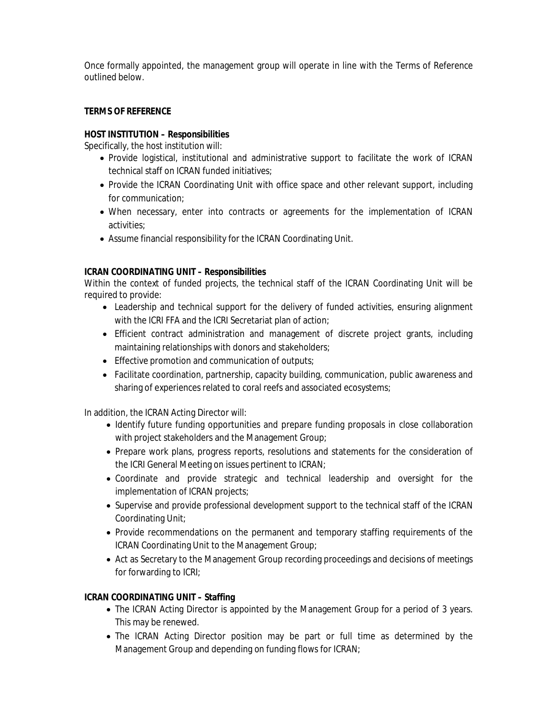Once formally appointed, the management group will operate in line with the Terms of Reference outlined below.

## **TERMS OF REFERENCE**

## **HOST INSTITUTION – Responsibilities**

Specifically, the host institution will:

- Provide logistical, institutional and administrative support to facilitate the work of ICRAN technical staff on ICRAN funded initiatives;
- Provide the ICRAN Coordinating Unit with office space and other relevant support, including for communication;
- When necessary, enter into contracts or agreements for the implementation of ICRAN activities;
- Assume financial responsibility for the ICRAN Coordinating Unit.

## **ICRAN COORDINATING UNIT – Responsibilities**

Within the context of funded projects, the technical staff of the ICRAN Coordinating Unit will be required to provide:

- Leadership and technical support for the delivery of funded activities, ensuring alignment with the ICRI FFA and the ICRI Secretariat plan of action;
- Efficient contract administration and management of discrete project grants, including maintaining relationships with donors and stakeholders;
- **Effective promotion and communication of outputs;**
- Facilitate coordination, partnership, capacity building, communication, public awareness and sharing of experiences related to coral reefs and associated ecosystems;

In addition, the ICRAN Acting Director will:

- Identify future funding opportunities and prepare funding proposals in close collaboration with project stakeholders and the Management Group;
- Prepare work plans, progress reports, resolutions and statements for the consideration of the ICRI General Meeting on issues pertinent to ICRAN;
- Coordinate and provide strategic and technical leadership and oversight for the implementation of ICRAN projects;
- Supervise and provide professional development support to the technical staff of the ICRAN Coordinating Unit;
- Provide recommendations on the permanent and temporary staffing requirements of the ICRAN Coordinating Unit to the Management Group;
- Act as Secretary to the Management Group recording proceedings and decisions of meetings for forwarding to ICRI;

## **ICRAN COORDINATING UNIT – Staffing**

- The ICRAN Acting Director is appointed by the Management Group for a period of 3 years. This may be renewed.
- The ICRAN Acting Director position may be part or full time as determined by the Management Group and depending on funding flows for ICRAN;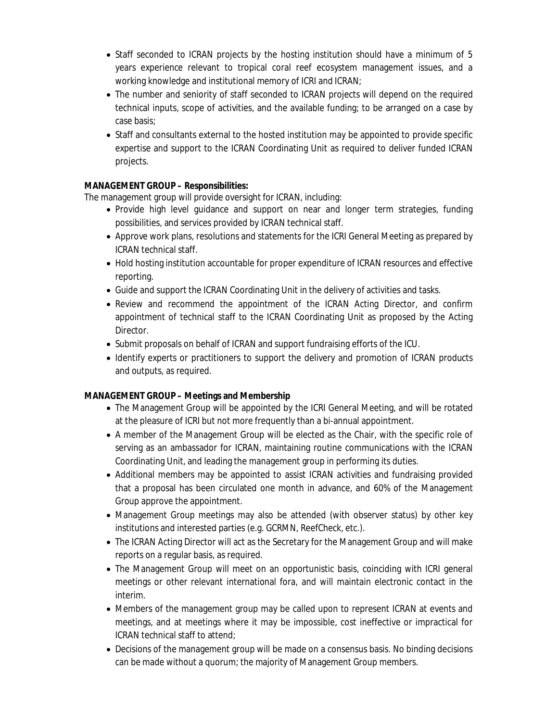- Staff seconded to ICRAN projects by the hosting institution should have a minimum of 5 years experience relevant to tropical coral reef ecosystem management issues, and a working knowledge and institutional memory of ICRI and ICRAN;
- The number and seniority of staff seconded to ICRAN projects will depend on the required technical inputs, scope of activities, and the available funding; to be arranged on a case by case basis;
- Staff and consultants external to the hosted institution may be appointed to provide specific expertise and support to the ICRAN Coordinating Unit as required to deliver funded ICRAN projects.

# **MANAGEMENT GROUP – Responsibilities:**

The management group will provide oversight for ICRAN, including:

- Provide high level guidance and support on near and longer term strategies, funding possibilities, and services provided by ICRAN technical staff.
- Approve work plans, resolutions and statements for the ICRI General Meeting as prepared by ICRAN technical staff.
- Hold hosting institution accountable for proper expenditure of ICRAN resources and effective reporting.
- Guide and support the ICRAN Coordinating Unit in the delivery of activities and tasks.
- Review and recommend the appointment of the ICRAN Acting Director, and confirm appointment of technical staff to the ICRAN Coordinating Unit as proposed by the Acting Director.
- Submit proposals on behalf of ICRAN and support fundraising efforts of the ICU.
- Identify experts or practitioners to support the delivery and promotion of ICRAN products and outputs, as required.

# **MANAGEMENT GROUP – Meetings and Membership**

- The Management Group will be appointed by the ICRI General Meeting, and will be rotated at the pleasure of ICRI but not more frequently than a bi-annual appointment.
- A member of the Management Group will be elected as the Chair, with the specific role of serving as an ambassador for ICRAN, maintaining routine communications with the ICRAN Coordinating Unit, and leading the management group in performing its duties.
- Additional members may be appointed to assist ICRAN activities and fundraising provided that a proposal has been circulated one month in advance, and 60% of the Management Group approve the appointment.
- Management Group meetings may also be attended (with observer status) by other key institutions and interested parties (e.g. GCRMN, ReefCheck, etc.).
- The ICRAN Acting Director will act as the Secretary for the Management Group and will make reports on a regular basis, as required.
- The Management Group will meet on an opportunistic basis, coinciding with ICRI general meetings or other relevant international fora, and will maintain electronic contact in the interim.
- Members of the management group may be called upon to represent ICRAN at events and meetings, and at meetings where it may be impossible, cost ineffective or impractical for ICRAN technical staff to attend;
- Decisions of the management group will be made on a consensus basis. No binding decisions can be made without a quorum; the majority of Management Group members.